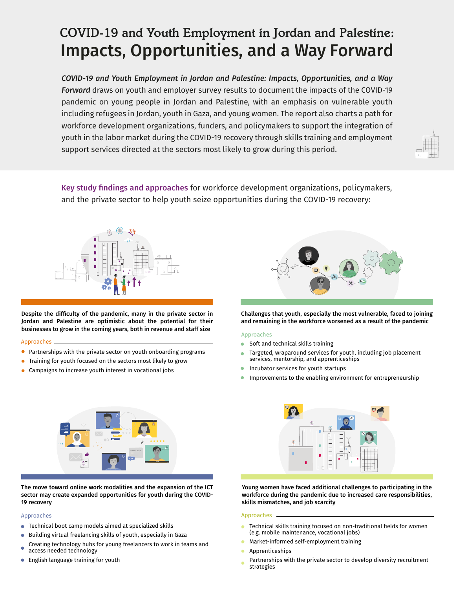# *COVID-19 and Youth Employment in Jordan and Palestine:* Impacts, Opportunities, and a Way Forward

*COVID-19 and Youth Employment in Jordan and Palestine: Impacts, Opportunities, and a Way Forward* draws on youth and employer survey results to document the impacts of the COVID-19 pandemic on young people in Jordan and Palestine, with an emphasis on vulnerable youth including refugees in Jordan, youth in Gaza, and young women. The report also charts a path for workforce development organizations, funders, and policymakers to support the integration of youth in the labor market during the COVID-19 recovery through skills training and employment support services directed at the sectors most likely to grow during this period.



Key study findings and approaches for workforce development organizations, policymakers, and the private sector to help youth seize opportunities during the COVID-19 recovery:



Despite the difficulty of the pandemic, many in the private sector in Jordan and Palestine are optimistic about the potential for their businesses to grow in the coming years, both in revenue and staff size

### Approaches

- $\bullet$ Partnerships with the private sector on youth onboarding programs
- $\bullet$ Training for youth focused on the sectors most likely to grow
- Campaigns to increase youth interest in vocational jobs



Challenges that youth, especially the most vulnerable, faced to joining and remaining in the workforce worsened as a result of the pandemic

### Approaches

- Soft and technical skills training  $\bullet$
- Targeted, wraparound services for youth, including job placement services, mentorship, and apprenticeships
- Incubator services for youth startups
- $\bullet$ Improvements to the enabling environment for entrepreneurship



The move toward online work modalities and the expansion of the ICT sector may create expanded opportunities for youth during the COVID-19 recovery

- Technical boot camp models aimed at specialized skills  $\bullet$
- Building virtual freelancing skills of youth, especially in Gaza  $\bullet$
- Creating technology hubs for young freelancers to work in teams and access needed technology
- **•** English language training for youth



Young women have faced additional challenges to participating in the workforce during the pandemic due to increased care responsibilities, skills mismatches, and job scarcity

### Approaches Approaches

- Technical skills training focused on non-traditional fields for women (e.g. mobile maintenance, vocational jobs)
- Market-informed self-employment training
- Apprenticeships
- Partnerships with the private sector to develop diversity recruitment strategies